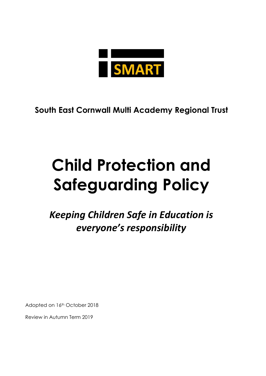

**South East Cornwall Multi Academy Regional Trust**

# **Child Protection and Safeguarding Policy**

*Keeping Children Safe in Education is everyone's responsibility*

Adopted on 16th October 2018

Review in Autumn Term 2019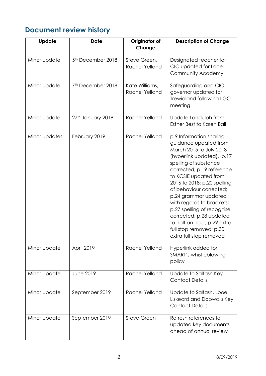# <span id="page-1-0"></span>**Document review history**

| <b>Update</b> | <b>Date</b>                   | Originator of<br>Change                 | <b>Description of Change</b>                                                                                                                                                                                                                                                                                                                                                                                                                         |
|---------------|-------------------------------|-----------------------------------------|------------------------------------------------------------------------------------------------------------------------------------------------------------------------------------------------------------------------------------------------------------------------------------------------------------------------------------------------------------------------------------------------------------------------------------------------------|
| Minor update  | 5 <sup>th</sup> December 2018 | Steve Green,<br><b>Rachel Yelland</b>   | Designated teacher for<br>CIC updated for Looe<br><b>Community Academy</b>                                                                                                                                                                                                                                                                                                                                                                           |
| Minor update  | 7 <sup>th</sup> December 2018 | Kate Williams,<br><b>Rachel Yelland</b> | Safeguarding and CIC<br>governor updated for<br><b>Trewidland following LGC</b><br>meeting                                                                                                                                                                                                                                                                                                                                                           |
| Minor update  | 27th January 2019             | <b>Rachel Yelland</b>                   | Update Landulph from<br>Esther Best to Karen Ball                                                                                                                                                                                                                                                                                                                                                                                                    |
| Minor updates | February 2019                 | <b>Rachel Yelland</b>                   | p.9 Information sharing<br>guidance updated from<br>March 2015 to July 2018<br>(hyperlink updated). p.17<br>spelling of substance<br>corrected; p.19 reference<br>to KCSIE updated from<br>2016 to 2018; p.20 spelling<br>of behaviour corrected;<br>p.24 grammar updated<br>with regards to brackets;<br>p.27 spelling of recognise<br>corrected; p.28 updated<br>to half an hour; p.29 extra<br>full stop removed; p.30<br>extra full stop removed |
| Minor Update  | April 2019                    | <b>Rachel Yelland</b>                   | Hyperlink added for<br>SMART's whistleblowing<br>policy                                                                                                                                                                                                                                                                                                                                                                                              |
| Minor Update  | <b>June 2019</b>              | <b>Rachel Yelland</b>                   | Update to Saltash Key<br><b>Contact Details</b>                                                                                                                                                                                                                                                                                                                                                                                                      |
| Minor Update  | September 2019                | Rachel Yelland                          | Update to Saltash, Looe,<br>Liskeard and Dobwalls Key<br><b>Contact Details</b>                                                                                                                                                                                                                                                                                                                                                                      |
| Minor Update  | September 2019                | <b>Steve Green</b>                      | Refresh references to<br>updated key documents<br>ahead of annual review                                                                                                                                                                                                                                                                                                                                                                             |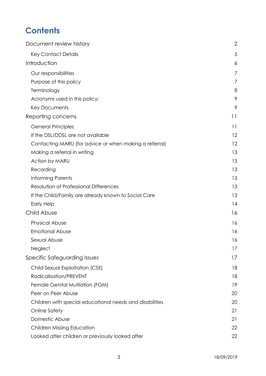# **Contents**

| Document review history                                  | $\overline{2}$ |
|----------------------------------------------------------|----------------|
| <b>Key Contact Details</b>                               | 5              |
| Introduction                                             | 6              |
| Our responsibilities                                     | $\overline{7}$ |
| Purpose of this policy                                   | 7              |
| Terminology                                              | 8              |
| Acronyms used in this policy:                            | 9              |
| <b>Key Documents</b>                                     | 9              |
| Reporting concerns                                       | 11             |
| <b>General Principles</b>                                | 11             |
| If the DSL/DDSL are not available                        | 12             |
| Contacting MARU (for advice or when making a referral)   | 12             |
| Making a referral in writing                             | 13             |
| Action by MARU                                           | 13             |
| Recording                                                | 13             |
| Informing Parents                                        | 13             |
| Resolution of Professional Differences                   | 13             |
| If the Child/Family are already known to Social Care     | 13             |
| <b>Early Help</b>                                        | 14             |
| Child Abuse                                              | 16             |
| <b>Physical Abuse</b>                                    | 16             |
| <b>Emotional Abuse</b>                                   | 16             |
| Sexual Abuse                                             | 16             |
| Neglect                                                  | 17             |
| Specific Safeguarding Issues                             | 17             |
| Child Sexual Exploitation (CSE)                          | 18             |
| <b>Radicalisation/PREVENT</b>                            | 18             |
| Female Genital Mutilation (FGM)                          | 19             |
| Peer on Peer Abuse                                       | 20             |
| Children with special educational needs and disabilities | 20             |
| Online Safety                                            | 21             |
| Domestic Abuse                                           | 21             |
| <b>Children Missing Education</b>                        | 22             |
| Looked after children or previously looked after         | 22             |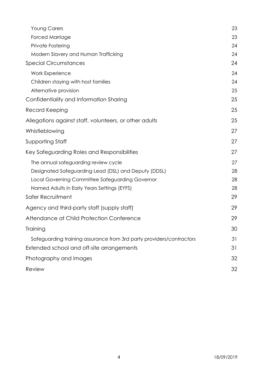| <b>Young Carers</b>                                                  | 23 |
|----------------------------------------------------------------------|----|
| Forced Marriage                                                      | 23 |
| Private Fostering                                                    | 24 |
| Modern Slavery and Human Trafficking                                 | 24 |
| <b>Special Circumstances</b>                                         | 24 |
| <b>Work Experience</b>                                               | 24 |
| Children staying with host families                                  | 24 |
| Alternative provision                                                | 25 |
| Confidentiality and Information Sharing                              | 25 |
| Record Keeping                                                       | 25 |
| Allegations against staff, volunteers, or other adults               | 25 |
| Whistleblowing                                                       | 27 |
| Supporting Staff                                                     | 27 |
| Key Safeguarding Roles and Responsibilities                          | 27 |
| The annual safeguarding review cycle                                 | 27 |
| Designated Safeguarding Lead (DSL) and Deputy (DDSL)                 | 28 |
| Local Governing Committee Safeguarding Governor                      | 28 |
| Named Adults in Early Years Settings (EYFS)                          | 28 |
| Safer Recruitment                                                    | 29 |
| Agency and third-party staff (supply staff)                          | 29 |
| Attendance at Child Protection Conference                            | 29 |
| Training                                                             | 30 |
| Safeguarding training assurance from 3rd party providers/contractors | 31 |
| Extended school and off-site arrangements                            | 31 |
| Photography and images                                               | 32 |
| Review                                                               | 32 |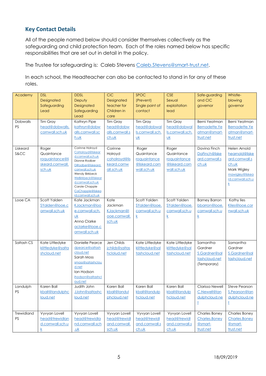## <span id="page-4-0"></span>**Key Contact Details**

All of the people named below should consider themselves collectively as the safeguarding and child protection team. Each of the roles named below has specific responsibilities that are set out in detail in the policy.

The Trustee for safeguarding is: Caleb Stevens [Caleb.Stevens@smart-trust.net.](mailto:Caleb.Stevens@smart-trust.net)

In each school, the Headteacher can also be contacted to stand in for any of these roles.

| Academy                 | <b>DSL</b><br>Designated<br>Safeguarding<br>Lead                               | <b>DDSL</b><br>Deputy<br>Designated<br>Safeguarding<br>Lead                                                                                                                                                                                         | CiC<br>Designated<br>teacher for<br>Children in<br>care          | <b>SPOC</b><br>(Prevent)<br>Single point of<br>contact                  | <b>CSE</b><br>Sexual<br>exploitation<br>lead                         | Safe-guarding<br>and CIC<br>governor                                 | Whistle-<br>blowing<br>governor                                                                                                 |
|-------------------------|--------------------------------------------------------------------------------|-----------------------------------------------------------------------------------------------------------------------------------------------------------------------------------------------------------------------------------------------------|------------------------------------------------------------------|-------------------------------------------------------------------------|----------------------------------------------------------------------|----------------------------------------------------------------------|---------------------------------------------------------------------------------------------------------------------------------|
| Dobwalls<br><b>PS</b>   | Tim Gray<br>head@dobwalls.<br>cornwall.sch.uk                                  | Kathryn Pipe<br>kathryn@dobw<br>alls.cornwall.sc<br>h.uk                                                                                                                                                                                            | Tim Gray<br>head@dobw<br>alls.cornwall.s<br>ch.uk                | Tim Gray<br>head@dobwal<br>Is.cornwall.sch.<br>$\underline{\mathsf{u}}$ | Tim Gray<br>head@dobwal<br>ls.cornwall.sch.<br>$\underline{uk}$      | Berni Yeatman<br>Bernadette.Ye<br>atman@smart-<br>trust.net          | <b>Berni Yeatman</b><br>Bernadette.Ye<br>atman@smart-<br>trust.net                                                              |
| Liskeard<br>S&CC        | Roger<br>Quaintance<br>roquaintance@li<br>skeard.cornwall.<br>sch.uk           | Corinne Holroyd<br>CoHolroyd@liskear<br>d.cornwall.sch.uk<br>Dionne Rodber<br>DiRodber@liskeard.<br>cornwall.sch.uk<br>Wendy Birkbeck<br><b>WeBirkbeck@liskear</b><br>d.cornwall.sch.uk<br>Carole Chapple<br>CaChapple@liskea<br>rd.cornwall.sch.uk | Corinne<br>Holroyd<br>coholroyd@lis<br>keard.cornw<br>all.sch.uk | Roger<br>Quaintance<br>roquaintance<br>@liskeard.corn<br>wall.sch.uk    | Roger<br>Quaintance<br>roquaintance<br>@liskeard.corn<br>wall.sch.uk | Davina Finch<br>DaFinch@liske<br>ard.cornwall.s<br>ch.uk             | Helen Arnold<br>hearnold@liske<br>ard.cornwall.s<br>ch.uk<br>Mark Wigley<br>mawigley@liskea<br>rd.cornwall.sch.u<br>$\mathsf k$ |
| Looe CA                 | Scott Yalden<br>SYalden@looe.c<br>ornwall.sch.uk                               | Kate Jackman<br>KJackman@loo<br>e.cornwall.sch.<br><b>uk</b><br>Anna Clarke<br>aclarke@looe.c<br>ornwall.sch.uk                                                                                                                                     | Kate<br>Jackman<br>KJackman@l<br>ooe.cornwall.<br>sch.uk         | Scott Yalden<br>SYalden@looe.<br>cornwall.sch.u<br>k                    | Scott Yalden<br>SYalden@looe.<br>cornwall.sch.u<br>$\underline{k}$   | <b>Barney Barron</b><br>bbarron@looe.<br>cornwall.sch.u<br>k         | Kathy Iles<br>Klles@looe.cor<br>nwall.sch.uk                                                                                    |
| Saltash CS              | Kate Littledyke<br>klittledyke@salta<br>shcloud.net                            | Danielle Pearce<br>dpearce@saltash<br>cloud.net<br>Sarah Moss<br>smoss@satashclou<br>d.net<br>Ian Hodson<br>ihodson@saltashcl<br>oud.net                                                                                                            | Jen Childs<br>jchilds@saltas<br>hclolud.net                      | Kate Littledyke<br>klittledyke@sal<br>tashcloud.net                     | Kate Littledyke<br>klittledyke@sal<br>tashcloud.net                  | Samantha<br>Gardner<br>S.Gardner@sal<br>tashcloud.net<br>(Temporary) | Samantha<br>Gardner<br>S.Gardner@sal<br>tashcloud.net                                                                           |
| Landulph<br><b>PS</b>   | Karen Ball<br>kball@landulphc<br>loud.net                                      | Judith John<br>JJohn@saltashc<br>loud.net                                                                                                                                                                                                           | Karen Ball<br>kball@landul<br>phcloud.net                        | Karen Ball<br>kball@landulp<br>hcloud.net                               | Karen Ball<br>kball@landulp<br>hcloud.net                            | Clarissa Newell<br>C.Newell@lan<br>dulphcloud.ne<br>İ                | <b>Steve Pearson</b><br>S.Pearson@lan<br>dulphcloud.ne<br>İ                                                                     |
| Trewidland<br><b>PS</b> | Vyvyan Lovell<br>head@trewidlan<br>d.cornwall.sch.u<br>$\overline{\mathsf{k}}$ | Vyvyan Lovell<br>head@trewidla<br>nd.cornwall.sch<br><u>.∪k</u>                                                                                                                                                                                     | Vyvyan Lovell<br>head@trewidl<br>and.cornwall.<br>sch.uk         | Vyvyan Lovell<br>head@trewidl<br>and.cornwall.s<br>ch.uk                | Vyvyan Lovell<br>head@trewidl<br>and.cornwall.s<br>ch.uk             | Charles Boney<br><b>Charles.Boney</b><br>@smart-<br>trust.net        | Charles Boney<br><b>Charles.Boney</b><br>@smart-<br>trust.net                                                                   |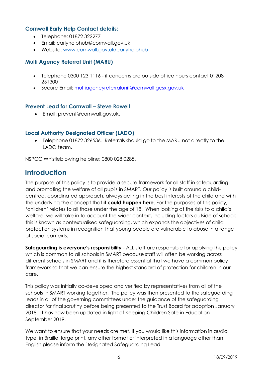#### **Cornwall Early Help Contact details:**

- Telephone: 01872 322277
- Email: earlyhelphub@cornwall.gov.uk
- Website: [www.cornwall.gov.uk/earlyhelphub](http://www.cornwall.gov.uk/earlyhelphub)

#### **Multi Agency Referral Unit (MARU)**

- Telephone 0300 123 1116 if concerns are outside office hours contact 01208 251300
- Secure Email: [multiagencyreferralunit@cornwall.gcsx.gov.uk](mailto:multiagencyreferralunit@cornwall.gcsx.gov.uk)

#### **Prevent Lead for Cornwall – Steve Rowell**

Email: prevent@cornwall.gov.uk.

#### **Local Authority Designated Officer (LADO)**

 Telephone 01872 326536. Referrals should go to the MARU not directly to the LADO team.

NSPCC Whistleblowing helpline: 0800 028 0285.

# <span id="page-5-0"></span>**Introduction**

The purpose of this policy is to provide a secure framework for all staff in safeguarding and promoting the welfare of all pupils in SMART. Our policy is built around a childcentred, coordinated approach, always acting in the best interests of the child and with the underlying the concept that **it could happen here**. For the purposes of this policy, 'children' relates to all those under the age of 18. When looking at the risks to a child's welfare, we will take in to account the wider context, including factors outside of school; this is known as contextualised safeguarding, which expands the objectives of child protection systems in recognition that young people are vulnerable to abuse in a range of social contexts.

**Safeguarding is everyone's responsibility** - ALL staff are responsible for applying this policy which is common to all schools in SMART because staff will often be working across different schools in SMART and it is therefore essential that we have a common policy framework so that we can ensure the highest standard of protection for children in our care.

This policy was initially co-developed and verified by representatives from all of the schools in SMART working together. The policy was then presented to the safeguarding leads in all of the governing committees under the guidance of the safeguarding director for final scrutiny before being presented to the Trust Board for adoption January 2018. It has now been updated in light of Keeping Children Safe in Education September 2019.

We want to ensure that your needs are met. If you would like this information in audio type, in Braille, large print, any other format or interpreted in a language other than English please inform the Designated Safeguarding Lead.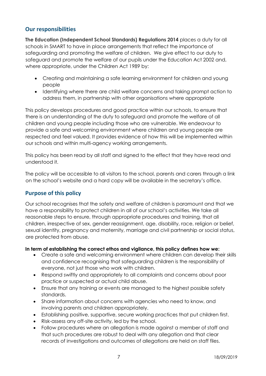## <span id="page-6-0"></span>**Our responsibilities**

**The Education (Independent School Standards) Regulations 2014** places a duty for all schools in SMART to have in place arrangements that reflect the importance of safeguarding and promoting the welfare of children. We give effect to our duty to safeguard and promote the welfare of our pupils under the Education Act 2002 and, where appropriate, under the Children Act 1989 by:

- Creating and maintaining a safe learning environment for children and young people
- Identifying where there are child welfare concerns and taking prompt action to address them, in partnership with other organisations where appropriate

This policy develops procedures and good practice within our schools, to ensure that there is an understanding of the duty to safeguard and promote the welfare of all children and young people including those who are vulnerable. We endeavour to provide a safe and welcoming environment where children and young people are respected and feel valued. It provides evidence of how this will be implemented within our schools and within multi-agency working arrangements.

This policy has been read by all staff and signed to the effect that they have read and understood it.

The policy will be accessible to all visitors to the school, parents and carers through a link on the school's website and a hard copy will be available in the secretary's office.

## <span id="page-6-1"></span>**Purpose of this policy**

Our school recognises that the safety and welfare of children is paramount and that we have a responsibility to protect children in all of our school's activities. We take all reasonable steps to ensure, through appropriate procedures and training, that all children, irrespective of sex, gender reassignment, age, disability, race, religion or belief, sexual identity, pregnancy and maternity, marriage and civil partnership or social status, are protected from abuse.

#### **In term of establishing the correct ethos and vigilance, this policy defines how we:**

- Create a safe and welcoming environment where children can develop their skills and confidence recognising that safeguarding children is the responsibility of everyone, not just those who work with children.
- Respond swiftly and appropriately to all complaints and concerns about poor practice or suspected or actual child abuse.
- Ensure that any training or events are managed to the highest possible safety standards.
- Share information about concerns with agencies who need to know, and involving parents and children appropriately.
- Establishing positive, supportive, secure working practices that put children first.
- Risk-assess any off-site activity, led by the school.
- Follow procedures where an allegation is made against a member of staff and that such procedures are robust to deal with any allegation and that clear records of investigations and outcomes of allegations are held on staff files.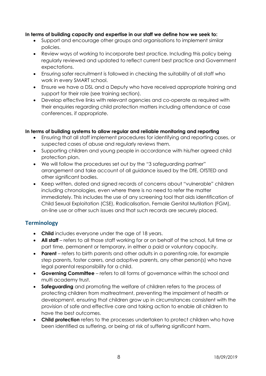#### **In terms of building capacity and expertise in our staff we define how we seek to:**

- Support and encourage other groups and organisations to implement similar policies.
- Review ways of working to incorporate best practice. Including this policy being regularly reviewed and updated to reflect current best practice and Government expectations.
- Ensuring safer recruitment is followed in checking the suitability of all staff who work in every SMART school.
- Ensure we have a DSL and a Deputy who have received appropriate training and support for their role (see training section).
- Develop effective links with relevant agencies and co-operate as required with their enquiries regarding child protection matters including attendance at case conferences, if appropriate.

#### **In terms of building systems to allow regular and reliable monitoring and reporting**

- Ensuring that all staff implement procedures for identifying and reporting cases, or suspected cases of abuse and regularly reviews them.
- Supporting children and young people in accordance with his/her agreed child protection plan.
- We will follow the procedures set out by the "3 safeguarding partner" arrangement and take account of all guidance issued by the DfE, OfSTED and other significant bodies.
- Keep written, dated and signed records of concerns about "vulnerable" children including chronologies, even where there is no need to refer the matter immediately. This includes the use of any screening tool that aids identification of Child Sexual Exploitation (CSE), Radicalisation, Female Genital Mutilation (FGM), on-line use or other such issues and that such records are securely placed.

## <span id="page-7-0"></span>**Terminology**

- **Child** includes everyone under the age of 18 years.
- **All staff** refers to all those staff working for or on behalf of the school, full time or part time, permanent or temporary, in either a paid or voluntary capacity.
- **Parent**  refers to birth parents and other adults in a parenting role, for example step parents, foster carers, and adoptive parents, any other person(s) who have legal parental responsibility for a child.
- **Governing Committee**  refers to all forms of governance within the school and multi academy trust.
- **Safeguarding** and promoting the welfare of children refers to the process of protecting children from maltreatment, preventing the impairment of health or development, ensuring that children grow up in circumstances consistent with the provision of safe and effective care and taking action to enable all children to have the best outcomes.
- **Child protection** refers to the processes undertaken to protect children who have been identified as suffering, or being at risk of suffering significant harm.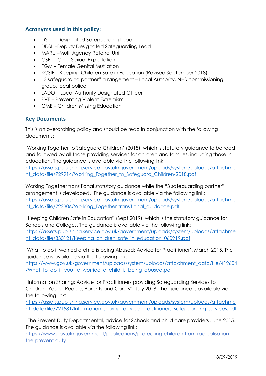## <span id="page-8-0"></span>**Acronyms used in this policy:**

- DSL Designated Safeguarding Lead
- DDSL –Deputy Designated Safeguarding Lead
- MARU-Multi Agency Referral Unit
- CSE Child Sexual Exploitation
- FGM Female Genital Mutilation
- KCSIE Keeping Children Safe in Education (Revised September 2018)
- "3 safeguarding partner" arrangement Local Authority, NHS commissioning group, local police
- LADO Local Authority Designated Officer
- PVE Preventing Violent Extremism
- CME Children Missing Education

#### <span id="page-8-1"></span>**Key Documents**

This is an overarching policy and should be read in conjunction with the following documents:

'Working Together to Safeguard Children' (2018), which is statutory guidance to be read and followed by all those providing services for children and families, including those in education. The guidance is available via the following link: [https://assets.publishing.service.gov.uk/government/uploads/system/uploads/attachme](https://assets.publishing.service.gov.uk/government/uploads/system/uploads/attachment_data/file/729914/Working_Together_to_Safeguard_Children-2018.pdf)

[nt\\_data/file/729914/Working\\_Together\\_to\\_Safeguard\\_Children-2018.pdf](https://assets.publishing.service.gov.uk/government/uploads/system/uploads/attachment_data/file/729914/Working_Together_to_Safeguard_Children-2018.pdf)

Working Together transitional statutory guidance while the "3 safeguarding partner" arrangement is developed. The guidance is available via the following link: [https://assets.publishing.service.gov.uk/government/uploads/system/uploads/attachme](https://assets.publishing.service.gov.uk/government/uploads/system/uploads/attachment_data/file/722306/Working_Together-transitional_guidance.pdf) [nt\\_data/file/722306/Working\\_Together-transitional\\_guidance.pdf](https://assets.publishing.service.gov.uk/government/uploads/system/uploads/attachment_data/file/722306/Working_Together-transitional_guidance.pdf)

"Keeping Children Safe in Education" (Sept 2019), which is the statutory guidance for Schools and Colleges. The guidance is available via the following link: [https://assets.publishing.service.gov.uk/government/uploads/system/uploads/attachme](https://assets.publishing.service.gov.uk/government/uploads/system/uploads/attachment_data/file/830121/Keeping_children_safe_in_education_060919.pdf) nt data/file/830121/Keeping children safe in education 060919.pdf

'What to do if worried a child is being Abused: Advice for Practitioner'. March 2015. The guidance is available via the following link:

[https://www.gov.uk/government/uploads/system/uploads/attachment\\_data/file/419604](https://www.gov.uk/government/uploads/system/uploads/attachment_data/file/419604/What_to_do_if_you_re_worried_a_child_is_being_abused.pdf) /What to do if you re worried a child is being abused.pdf

"Information Sharing: Advice for Practitioners providing Safeguarding Services to Children, Young People, Parents and Carers". July 2018. The guidance is available via the following link:

[https://assets.publishing.service.gov.uk/government/uploads/system/uploads/attachme](https://assets.publishing.service.gov.uk/government/uploads/system/uploads/attachment_data/file/721581/Information_sharing_advice_practitioners_safeguarding_services.pdf) [nt\\_data/file/721581/Information\\_sharing\\_advice\\_practitioners\\_safeguarding\\_services.pdf](https://assets.publishing.service.gov.uk/government/uploads/system/uploads/attachment_data/file/721581/Information_sharing_advice_practitioners_safeguarding_services.pdf)

"The Prevent Duty Departmental, advice for Schools and child care providers June 2015. The guidance is available via the following link:

[https://www.gov.uk/government/publications/protecting-children-from-radicalisation](http://safercornwall.co.uk/preventing-crime/preventing-violent-extremism/)[the-prevent-duty](http://safercornwall.co.uk/preventing-crime/preventing-violent-extremism/)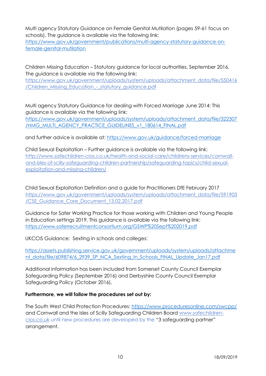Multi agency Statutory Guidance on Female Genital Mutilation (pages 59-61 focus on schools). The guidance is available via the following link:

[https://www.gov.uk/government/publications/multi-agency-statutory-guidance-on](https://www.gov.uk/government/publications/multi-agency-statutory-guidance-on-female-genital-mutilation)[female-genital-mutilation](https://www.gov.uk/government/publications/multi-agency-statutory-guidance-on-female-genital-mutilation)

Children Missing Education – Statutory guidance for local authorities, September 2016. The guidance is available via the following link:

[https://www.gov.uk/government/uploads/system/uploads/attachment\\_data/file/550416](https://www.gov.uk/government/uploads/system/uploads/attachment_data/file/550416/Children_Missing_Education_-_statutory_guidance.pdf) [/Children\\_Missing\\_Education\\_-\\_statutory\\_guidance.pdf](https://www.gov.uk/government/uploads/system/uploads/attachment_data/file/550416/Children_Missing_Education_-_statutory_guidance.pdf)

Multi agency Statutory Guidance for dealing with Forced Marriage June 2014: This guidance is available via the following link:

[https://www.gov.uk/government/uploads/system/uploads/attachment\\_data/file/322307](https://www.gov.uk/government/uploads/system/uploads/attachment_data/file/322307/HMG_MULTI_AGENCY_PRACTICE_GUIDELINES_v1_180614_FINAL.pdf) [/HMG\\_MULTI\\_AGENCY\\_PRACTICE\\_GUIDELINES\\_v1\\_180614\\_FINAL.pdf](https://www.gov.uk/government/uploads/system/uploads/attachment_data/file/322307/HMG_MULTI_AGENCY_PRACTICE_GUIDELINES_v1_180614_FINAL.pdf)

and further advice is available at:<https://www.gov.uk/guidance/forced-marriage>

Child Sexual Exploitation – Further guidance is available via the following link: [http://www.safechildren-cios.co.uk/health-and-social-care/childrens-services/cornwall](http://www.safechildren-cios.co.uk/health-and-social-care/childrens-services/cornwall-and-isles-of-scilly-safeguarding-children-partnership/safeguarding-topics/child-sexual-exploitation-and-missing-children/)[and-isles-of-scilly-safeguarding-children-partnership/safeguarding-topics/child-sexual](http://www.safechildren-cios.co.uk/health-and-social-care/childrens-services/cornwall-and-isles-of-scilly-safeguarding-children-partnership/safeguarding-topics/child-sexual-exploitation-and-missing-children/)[exploitation-and-missing-children/](http://www.safechildren-cios.co.uk/health-and-social-care/childrens-services/cornwall-and-isles-of-scilly-safeguarding-children-partnership/safeguarding-topics/child-sexual-exploitation-and-missing-children/)

Child Sexual Exploitation Definition and a guide for Practitioners DfE February 2017 [https://www.gov.uk/government/uploads/system/uploads/attachment\\_data/file/591903](https://www.gov.uk/government/uploads/system/uploads/attachment_data/file/591903/CSE_Guidance_Core_Document_13.02.2017.pdf) [/CSE\\_Guidance\\_Core\\_Document\\_13.02.2017.pdf](https://www.gov.uk/government/uploads/system/uploads/attachment_data/file/591903/CSE_Guidance_Core_Document_13.02.2017.pdf)

Guidance for Safer Working Practice for those working with Children and Young People in Education settings 2019. This guidance is available via the following link: <https://www.saferrecruitmentconsortium.org/GSWP%20Sept%202019.pdf>

UKCCIS Guidance: Sexting in schools and colleges:

[https://assets.publishing.service.gov.uk/government/uploads/system/uploads/attachme](https://assets.publishing.service.gov.uk/government/uploads/system/uploads/attachment_data/file/609874/6_2939_SP_NCA_Sexting_In_Schools_FINAL_Update_Jan17.pdf) [nt\\_data/file/609874/6\\_2939\\_SP\\_NCA\\_Sexting\\_In\\_Schools\\_FINAL\\_Update\\_Jan17.pdf](https://assets.publishing.service.gov.uk/government/uploads/system/uploads/attachment_data/file/609874/6_2939_SP_NCA_Sexting_In_Schools_FINAL_Update_Jan17.pdf)

Additional information has been included from Somerset County Council Exemplar Safeguarding Policy (September 2016) and Derbyshire County Council Exemplar Safeguarding Policy (October 2016).

#### **Furthermore, we will follow the procedures set out by:**

The South West Child Protection Procedures:<https://www.proceduresonline.com/swcpp/> and Cornwall and the Isles of Scilly Safeguarding Children Board [www.safechildren](http://www.safechildren-cios.co.uk/)[cios.co.uk](http://www.safechildren-cios.co.uk/) until new procedures are developed by the "3 safeguarding partner" arrangement.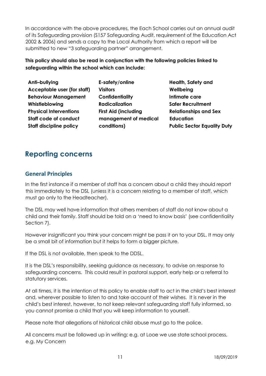In accordance with the above procedures, the Each School carries out an annual audit of its Safeguarding provision (S157 Safeguarding Audit, requirement of the Education Act 2002 & 2006) and sends a copy to the Local Authority from which a report will be submitted to new "3 safeguarding partner" arrangement.

**This policy should also be read in conjunction with the following policies linked to safeguarding within the school which can include:**

| Anti-bullying                  | E-s  |
|--------------------------------|------|
| Acceptable user (for staff)    | Vis  |
| <b>Behaviour Management</b>    | Co   |
| Whistleblowing                 | Ra   |
| <b>Physical Interventions</b>  | Firs |
| Staff code of conduct          | mc   |
| <b>Staff discipline policy</b> | o    |

**E-safety/online Visitors Confidentiality Radicalization First Aid (including management of medical conditions)**

**Health, Safety and Wellbeing Intimate care Safer Recruitment Relationships and Sex Education Public Sector Equality Duty**

# <span id="page-10-0"></span>**Reporting concerns**

## <span id="page-10-1"></span>**General Principles**

In the first instance if a member of staff has a concern about a child they should report this immediately to the DSL (unless it is a concern relating to a member of staff, which must go only to the Headteacher).

The DSL may well have information that others members of staff do not know about a child and their family. Staff should be told on a 'need to know basis' (see confidentiality Section 7).

However insignificant you think your concern might be pass it on to your DSL. It may only be a small bit of information but it helps to form a bigger picture.

If the DSL is not available, then speak to the DDSL.

It is the DSL's responsibility, seeking guidance as necessary, to advise on response to safeguarding concerns. This could result in pastoral support, early help or a referral to statutory services.

At all times, it is the intention of this policy to enable staff to act in the child's best interest and, wherever possible to listen to and take account of their wishes. It is never in the child's best interest, however, to not keep relevant safeguarding staff fully informed, so you cannot promise a child that you will keep information to yourself.

Please note that allegations of historical child abuse must go to the police.

All concerns must be followed up in writing; e.g. at Looe we use state school process, e.g. My Concern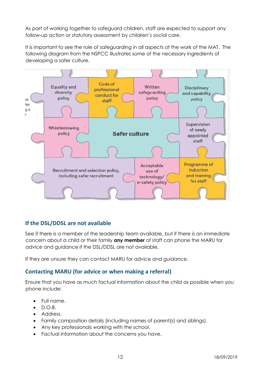As part of working together to safeguard children, staff are expected to support any follow-up action or statutory assessment by children's social care.

It is important to see the role of safeguarding in all aspects of the work of the MAT. The following diagram from the NSPCC illustrates some of the necessary ingredients of developing a safer culture.



## <span id="page-11-0"></span>**If the DSL/DDSL are not available**

See if there is a member of the leadership team available, but if there is an immediate concern about a child or their family **any member** of staff can phone the MARU for advice and guidance if the DSL/DDSL are not available.

If they are unsure they can contact MARU for advice and guidance.

## <span id="page-11-1"></span>**Contacting MARU (for advice or when making a referral)**

Ensure that you have as much factual information about the child as possible when you phone include:

- Full name.
- $\bullet$  D.O.B.
- Address.
- Family composition details (including names of parent(s) and siblings).
- Any key professionals working with the school.
- Factual information about the concerns you have.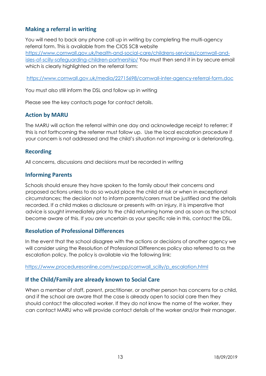## <span id="page-12-0"></span>**Making a referral in writing**

You will need to back any phone call up in writing by completing the multi-agency referral form. This is available from the CIOS SCB website [https://www.cornwall.gov.uk/health-and-social-care/childrens-services/cornwall-and](https://www.cornwall.gov.uk/health-and-social-care/childrens-services/cornwall-and-isles-of-scilly-safeguarding-children-partnership/)[isles-of-scilly-safeguarding-children-partnership/](https://www.cornwall.gov.uk/health-and-social-care/childrens-services/cornwall-and-isles-of-scilly-safeguarding-children-partnership/) You must then send it in by secure email which is clearly highlighted on the referral form:

<https://www.cornwall.gov.uk/media/22715698/cornwall-inter-agency-referral-form.doc>

You must also still inform the DSL and follow up in writing

Please see the key contacts page for contact details.

#### <span id="page-12-1"></span>**Action by MARU**

The MARU will action the referral within one day and acknowledge receipt to referrer; if this is not forthcoming the referrer must follow up. Use the local escalation procedure if your concern is not addressed and the child's situation not improving or is deteriorating.

#### <span id="page-12-2"></span>**Recording**

All concerns, discussions and decisions must be recorded in writing

#### <span id="page-12-3"></span>**Informing Parents**

Schools should ensure they have spoken to the family about their concerns and proposed actions unless to do so would place the child at risk or when in exceptional circumstances; the decision not to inform parents/carers must be justified and the details recorded. If a child makes a disclosure or presents with an injury, it is imperative that advice is sought immediately prior to the child returning home and as soon as the school become aware of this. If you are uncertain as your specific role in this, contact the DSL.

#### <span id="page-12-4"></span>**Resolution of Professional Differences**

In the event that the school disagree with the actions or decisions of another agency we will consider using the Resolution of Professional Differences policy also referred to as the escalation policy. The policy is available via the following link:

#### [https://www.proceduresonline.com/swcpp/cornwall\\_scilly/p\\_escalation.html](https://www.proceduresonline.com/swcpp/cornwall_scilly/p_escalation.html)

#### <span id="page-12-5"></span>**If the Child/Family are already known to Social Care**

When a member of staff, parent, practitioner, or another person has concerns for a child, and if the school are aware that the case is already open to social care then they should contact the allocated worker. If they do not know the name of the worker, they can contact MARU who will provide contact details of the worker and/or their manager.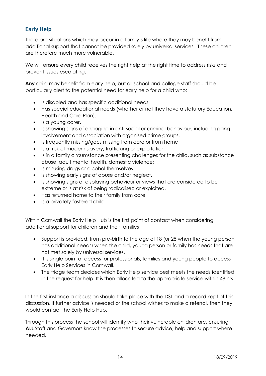# <span id="page-13-0"></span>**Early Help**

There are situations which may occur in a family's life where they may benefit from additional support that cannot be provided solely by universal services. These children are therefore much more vulnerable.

We will ensure every child receives the right help at the right time to address risks and prevent issues escalating.

**Any** child may benefit from early help, but all school and college staff should be particularly alert to the potential need for early help for a child who:

- Is disabled and has specific additional needs.
- Has special educational needs (whether or not they have a statutory Education, Health and Care Plan).
- Is a young carer.
- Is showing signs of engaging in anti-social or criminal behaviour, including gang involvement and association with organised crime groups.
- Is frequently missing/goes missing from care or from home
- Is at risk of modern slavery, trafficking or exploitation
- Is in a family circumstance presenting challenges for the child, such as substance abuse, adult mental health, domestic violence;
- Is misusing drugs or alcohol themselves
- Is showing early signs of abuse and/or neglect.
- Is showing signs of displaying behaviour or views that are considered to be extreme or is at risk of being radicalised or exploited.
- Has returned home to their family from care
- Is a privately fostered child

Within Cornwall the Early Help Hub is the first point of contact when considering additional support for children and their families

- Support is provided: from pre-birth to the age of 18 (or 25 when the young person has additional needs) when the child, young person or family has needs that are not met solely by universal services.
- It is single point of access for professionals, families and young people to access Early Help Services in Cornwall.
- The triage team decides which Early Help service best meets the needs identified in the request for help. It is then allocated to the appropriate service within 48 hrs.

In the first instance a discussion should take place with the DSL and a record kept of this discussion. If further advice is needed or the school wishes to make a referral, then they would contact the Early Help Hub.

Through this process the school will identify who their vulnerable children are, ensuring **ALL** Staff and Governors know the processes to secure advice, help and support where needed.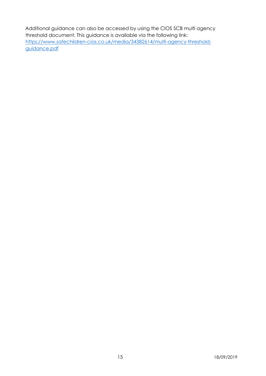Additional guidance can also be accessed by using the CIOS SCB multi agency threshold document. This guidance is available via the following link: [https://www.safechildren-cios.co.uk/media/34382614/multi-agency-threshold](https://www.safechildren-cios.co.uk/media/34382614/multi-agency-threshold-guidance.pdf)[guidance.pdf](https://www.safechildren-cios.co.uk/media/34382614/multi-agency-threshold-guidance.pdf)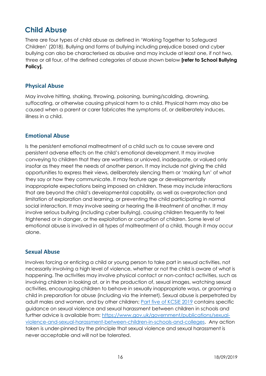# <span id="page-15-0"></span>**Child Abuse**

There are four types of child abuse as defined in 'Working Together to Safeguard Children' (2018). Bullying and forms of bullying including prejudice based and cyber bullying can also be characterised as abusive and may include at least one, if not two, three or all four, of the defined categories of abuse shown below **[refer to School Bullying Policy].**

## <span id="page-15-1"></span>**Physical Abuse**

May involve hitting, shaking, throwing, poisoning, burning/scalding, drowning, suffocating, or otherwise causing physical harm to a child. Physical harm may also be caused when a parent or carer fabricates the symptoms of, or deliberately induces, illness in a child.

#### <span id="page-15-2"></span>**Emotional Abuse**

Is the persistent emotional maltreatment of a child such as to cause severe and persistent adverse effects on the child's emotional development. It may involve conveying to children that they are worthless or unloved, inadequate, or valued only insofar as they meet the needs of another person. It may include not giving the child opportunities to express their views, deliberately silencing them or 'making fun' of what they say or how they communicate. It may feature age or developmentally inappropriate expectations being imposed on children. These may include interactions that are beyond the child's developmental capability, as well as overprotection and limitation of exploration and learning, or preventing the child participating in normal social interaction. It may involve seeing or hearing the ill-treatment of another. It may involve serious bullying (including cyber bullying), causing children frequently to feel frightened or in danger, or the exploitation or corruption of children. Some level of emotional abuse is involved in all types of maltreatment of a child, though it may occur alone.

## <span id="page-15-3"></span>**Sexual Abuse**

Involves forcing or enticing a child or young person to take part in sexual activities, not necessarily involving a high level of violence, whether or not the child is aware of what is happening. The activities may involve physical contact or non-contact activities, such as involving children in looking at, or in the production of, sexual images, watching sexual activities, encouraging children to behave in sexually inappropriate ways, or grooming a child in preparation for abuse (including via the internet). Sexual abuse is perpetrated by adult males and women, and by other children; [Part five of KCSiE 2019](https://assets.publishing.service.gov.uk/government/uploads/system/uploads/attachment_data/file/830121/Keeping_children_safe_in_education_060919.pdf) contains specific guidance on sexual violence and sexual harassment between children in schools and further advice is available from: [https://www.gov.uk/government/publications/sexual](https://www.gov.uk/government/publications/sexual-violence-and-sexual-harassment-between-children-in-schools-and-colleges)[violence-and-sexual-harassment-between-children-in-schools-and-colleges.](https://www.gov.uk/government/publications/sexual-violence-and-sexual-harassment-between-children-in-schools-and-colleges) Any action taken is under-pinned by the principle that sexual violence and sexual harassment is never acceptable and will not be tolerated.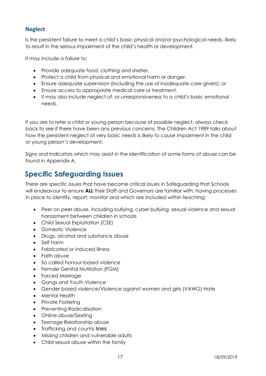# <span id="page-16-0"></span>**Neglect**

Is the persistent failure to meet a child's basic physical and/or psychological needs, likely to result in the serious impairment of the child's health or development.

It may include a failure to:

- Provide adequate food, clothing and shelter.
- Protect a child from physical and emotional harm or danger.
- Ensure adequate supervision (including the use of inadequate care-givers); or
- Ensure access to appropriate medical care or treatment.
- It may also include neglect of, or unresponsiveness to a child's basic emotional needs.

If you are to refer a child or young person because of possible neglect, always check back to see if there have been any previous concerns. The Children Act 1989 talks about how the persistent neglect of very basic needs is likely to cause impairment in the child or young person's development.

Signs and Indicators which may assist in the identification of some forms of abuse can be found in Appendix A.

# <span id="page-16-1"></span>**Specific Safeguarding Issues**

There are specific issues that have become critical issues in Safeguarding that Schools will endeavour to ensure **ALL** their Staff and Governors are familiar with; having processes in place to identify, report, monitor and which are included within teaching:

- Peer on peer abuse, including bullying, cyber bullying, sexual violence and sexual harassment between children in schools
- Child Sexual Exploitation (CSE)
- Domestic Violence
- Drugs, alcohol and substance abuse
- Self harm
- Fabricated or induced illness
- Faith abuse
- So called honour-based violence
- Female Genital Mutilation (FGM)
- Forced Marriage
- Gangs and Youth Violence
- Gender based violence/Violence against women and girls (VAWG) Hate
- Mental Health
- Private Fostering
- Preventing Radicalisation
- Online abuse/Sexting
- Teenage Relationship abuse
- Trafficking and county lines
- Missing children and vulnerable adults
- Child sexual abuse within the family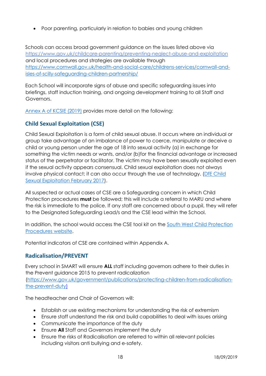Poor parenting, particularly in relation to babies and young children

Schools can access broad government guidance on the issues listed above via <https://www.gov.uk/childcare-parenting/preventing-neglect-abuse-and-exploitation> and local procedures and strategies are available through [https://www.cornwall.gov.uk/health-and-social-care/childrens-services/cornwall-and](https://www.cornwall.gov.uk/health-and-social-care/childrens-services/cornwall-and-isles-of-scilly-safeguarding-children-partnership/)[isles-of-scilly-safeguarding-children-partnership/](https://www.cornwall.gov.uk/health-and-social-care/childrens-services/cornwall-and-isles-of-scilly-safeguarding-children-partnership/)

Each School will incorporate signs of abuse and specific safeguarding issues into briefings, staff induction training, and ongoing development training to all Staff and Governors.

[Annex A of KCSIE \(2019\)](https://assets.publishing.service.gov.uk/government/uploads/system/uploads/attachment_data/file/830121/Keeping_children_safe_in_education_060919.pdf) provides more detail on the following:

## <span id="page-17-0"></span>**Child Sexual Exploitation (CSE)**

Child Sexual Exploitation is a form of child sexual abuse. It occurs where an individual or group take advantage of an imbalance of power to coerce, manipulate or deceive a child or young person under the age of 18 into sexual activity (a) in exchange for something the victim needs or wants, and/or (b)for the financial advantage or increased status of the perpetrator or facilitator. The victim may have been sexually exploited even if the sexual activity appears consensual. Child sexual exploitation does not always involve physical contact; it can also occur through the use of technology. [\(DfE Child](https://www.gov.uk/government/uploads/system/uploads/attachment_data/file/591903/CSE_Guidance_Core_Document_13.02.2017.pdf)  [Sexual Exploitation February 2017\)](https://www.gov.uk/government/uploads/system/uploads/attachment_data/file/591903/CSE_Guidance_Core_Document_13.02.2017.pdf).

All suspected or actual cases of CSE are a Safeguarding concern in which Child Protection procedures **must** be followed; this will include a referral to MARU and where the risk is immediate to the police. If any staff are concerned about a pupil, they will refer to the Designated Safeguarding Lead/s and the CSE lead within the School.

In addition, the school would access the CSE tool kit on the South West Child Protection [Procedures website.](https://www.cornwall.gov.uk/health-and-social-care/childrens-services/cornwall-and-isles-of-scilly-safeguarding-children-partnership/safeguarding-topics/child-sexual-exploitation-and-missing-children/)

Potential indicators of CSE are contained within Appendix A.

## <span id="page-17-1"></span>**Radicalisation/PREVENT**

Every school in SMART will ensure **ALL** staff including governors adhere to their duties in the Prevent guidance 2015 to prevent radicalization [\(https://www.gov.uk/government/publications/protecting-children-from-radicalisation](https://www.gov.uk/government/publications/protecting-children-from-radicalisation-the-prevent-duty)[the-prevent-duty\)](https://www.gov.uk/government/publications/protecting-children-from-radicalisation-the-prevent-duty)

The headteacher and Chair of Governors will:

- Establish or use existing mechanisms for understanding the risk of extremism
- Ensure staff understand the risk and build capabilities to deal with issues arising
- Communicate the importance of the duty
- Ensure **All** Staff and Governors implement the duty
- Ensure the risks of Radicalisation are referred to within all relevant policies including visitors anti bullying and e-safety.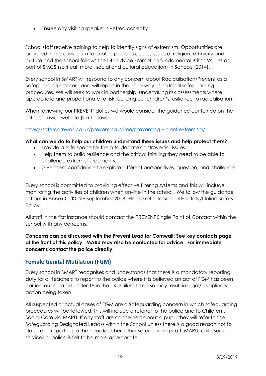• Ensure any visiting speaker is vetted correctly

School staff receive training to help to identify signs of extremism. Opportunities are provided in the curriculum to enable pupils to discuss issues of religion, ethnicity and culture and the school follows the DfE advice Promoting fundamental British Values as part of SMCS (spiritual, moral, social and cultural education) in Schools (2014).

Every school in SMART will respond to any concern about Radicalisation/Prevent as a Safeguarding concern and will report in the usual way using local safeguarding procedures. We will seek to work in partnership, undertaking risk assessments where appropriate and proportionate to risk, building our children's resilience to radicalisation.

When reviewing our PREVENT duties we would consider the guidance contained on the safer Cornwall website (link below).

#### <https://safercornwall.co.uk/preventing-crime/preventing-violent-extremism/>

#### **What can we do to help our children understand these issues and help protect them?**

- Provide a safe space for them to debate controversial issues.
- Help them to build resilience and the critical thinking they need to be able to challenge extremist arguments.
- Give them confidence to explore different perspectives, question, and challenge.

Every school is committed to providing effective filtering systems and this will include monitoring the activities of children when on-line in the school. We follow the guidance set out in Annex C (KCSIE September 2018) Please refer to School E-safety/Online Safety Policy.

All staff in the first instance should contact the PREVENT Single Point of Contact within the school with any concerns.

#### **Concerns can be discussed with the Prevent Lead for Cornwall: See key contacts page at the front of this policy. MARU may also be contacted for advice. For immediate concerns contact the police directly.**

## <span id="page-18-0"></span>**Female Genital Mutilation (FGM)**

Every school in SMART recognises and understands that there is a mandatory reporting duty for all teachers to report to the police where it is believed an act of FGM has been carried out on a girl under 18 in the UK. Failure to do so may result in legal/disciplinary action being taken.

All suspected or actual cases of FGM are a Safeguarding concern in which safeguarding procedures will be followed; this will include a referral to the police and to Children's Social Care via MARU. If any staff are concerned about a pupil, they will refer to the Safeguarding Designated Lead/s within the School unless there is a good reason not to do so and reporting to the headteacher, other safeguarding staff, MARU, child social services or police is felt to be more appropriate.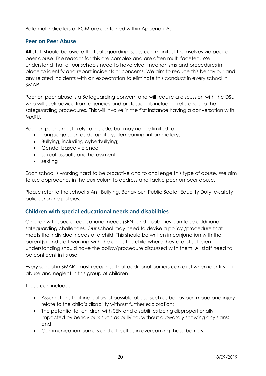Potential indicators of FGM are contained within Appendix A.

## <span id="page-19-0"></span>**Peer on Peer Abuse**

**All** staff should be aware that safeguarding issues can manifest themselves via peer on peer abuse. The reasons for this are complex and are often multi-faceted. We understand that all our schools need to have clear mechanisms and procedures in place to identify and report incidents or concerns. We aim to reduce this behaviour and any related incidents with an expectation to eliminate this conduct in every school in SMART.

Peer on peer abuse is a Safeguarding concern and will require a discussion with the DSL who will seek advice from agencies and professionals including reference to the safeguarding procedures. This will involve in the first instance having a conversation with MARU.

Peer on peer is most likely to include, but may not be limited to:

- Language seen as derogatory, demeaning, inflammatory;
- Bullying, including cyberbullying;
- Gender based violence
- sexual assaults and harassment
- sexting

Each school is working hard to be proactive and to challenge this type of abuse. We aim to use approaches in the curriculum to address and tackle peer on peer abuse.

Please refer to the school's Anti Bullying, Behaviour, Public Sector Equality Duty, e-safety policies/online policies.

#### <span id="page-19-1"></span>**Children with special educational needs and disabilities**

Children with special educational needs (SEN) and disabilities can face additional safeguarding challenges. Our school may need to devise a policy /procedure that meets the individual needs of a child. This should be written in conjunction with the parent(s) and staff working with the child. The child where they are of sufficient understanding should have the policy/procedure discussed with them. All staff need to be confident in its use.

Every school in SMART must recognise that additional barriers can exist when identifying abuse and neglect in this group of children.

These can include:

- Assumptions that indicators of possible abuse such as behaviour, mood and injury relate to the child's disability without further exploration;
- The potential for children with SEN and disabilities being disproportionally impacted by behaviours such as bullying, without outwardly showing any signs; and
- Communication barriers and difficulties in overcoming these barriers.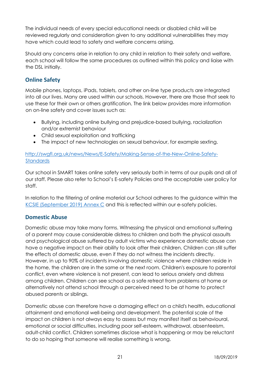The individual needs of every special educational needs or disabled child will be reviewed regularly and consideration given to any additional vulnerabilities they may have which could lead to safety and welfare concerns arising.

Should any concerns arise in relation to any child in relation to their safety and welfare, each school will follow the same procedures as outlined within this policy and liaise with the DSL initially.

# <span id="page-20-0"></span>**Online Safety**

Mobile phones, laptops, iPads, tablets, and other on-line type products are integrated into all our lives. Many are used within our schools. However, there are those that seek to use these for their own or others gratification. The link below provides more information on on-line safety and cover issues such as:

- Bullying, including online bullying and prejudice-based bullying, racialization and/or extremist behaviour
- Child sexual exploitation and trafficking
- The impact of new technologies on sexual behaviour, for example sexting.

#### [http://swgfl.org.uk/news/News/E-Safety/Making-Sense-of-the-New-Online-Safety-](http://swgfl.org.uk/news/News/E-Safety/Making-Sense-of-the-New-Online-Safety-Standards)[Standards](http://swgfl.org.uk/news/News/E-Safety/Making-Sense-of-the-New-Online-Safety-Standards)

Our school in SMART takes online safety very seriously both in terms of our pupils and all of our staff. Please also refer to School's E-safety Policies and the acceptable user policy for staff.

In relation to the filtering of online material our School adheres to the guidance within the [KCSIE \(September 2019\) Annex C](https://assets.publishing.service.gov.uk/government/uploads/system/uploads/attachment_data/file/830121/Keeping_children_safe_in_education_060919.pdf) and this is reflected within our e-safety policies.

## <span id="page-20-1"></span>**Domestic Abuse**

Domestic abuse may take many forms. Witnessing the physical and emotional suffering of a parent may cause considerable distress to children and both the physical assaults and psychological abuse suffered by adult victims who experience domestic abuse can have a negative impact on their ability to look after their children. Children can still suffer the effects of domestic abuse, even if they do not witness the incidents directly. However, in up to 90% of incidents involving domestic violence where children reside in the home, the children are in the same or the next room. Children's exposure to parental conflict, even where violence is not present, can lead to serious anxiety and distress among children. Children can see school as a safe retreat from problems at home or alternatively not attend school through a perceived need to be at home to protect abused parents or siblings.

Domestic abuse can therefore have a damaging effect on a child's health, educational attainment and emotional well-being and development. The potential scale of the impact on children is not always easy to assess but may manifest itself as behavioural, emotional or social difficulties, including poor self-esteem, withdrawal, absenteeism, adult-child conflict. Children sometimes disclose what is happening or may be reluctant to do so hoping that someone will realise something is wrong.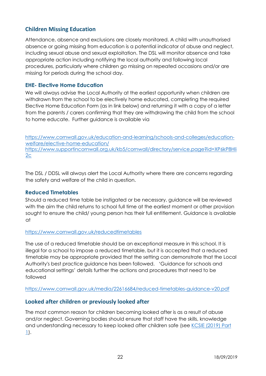## <span id="page-21-0"></span>**Children Missing Education**

Attendance, absence and exclusions are closely monitored. A child with unauthorised absence or going missing from education is a potential indicator of abuse and neglect, including sexual abuse and sexual exploitation. The DSL will monitor absence and take appropriate action including notifying the local authority and following local procedures, particularly where children go missing on repeated occasions and/or are missing for periods during the school day.

## **EHE- Elective Home Education**

We will always advise the Local Authority at the earliest opportunity when children are withdrawn from the school to be electively home educated, completing the required Elective Home Education Form (as in link below) and returning it with a copy of a letter from the parents / carers confirming that they are withdrawing the child from the school to home educate. Further guidance is available via

[https://www.cornwall.gov.uk/education-and-learning/schools-and-colleges/education](https://www.cornwall.gov.uk/education-and-learning/schools-and-colleges/education-welfare/elective-home-education/)[welfare/elective-home-education/](https://www.cornwall.gov.uk/education-and-learning/schools-and-colleges/education-welfare/elective-home-education/) [https://www.supportincornwall.org.uk/kb5/cornwall/directory/service.page?id=XP6kP8Hli](https://www.supportincornwall.org.uk/kb5/cornwall/directory/service.page?id=XP6kP8Hli2c)  $2c$ 

The DSL / DDSL will always alert the Local Authority where there are concerns regarding the safety and welfare of the child in question.

#### **Reduced Timetables**

Should a reduced time table be instigated or be necessary, guidance will be reviewed with the aim the child returns to school full time at the earliest moment or other provision sought to ensure the child/ young person has their full entitlement. Guidance is available at

#### <https://www.cornwall.gov.uk/reducedtimetables>

The use of a reduced timetable should be an exceptional measure in this school. It is illegal for a school to impose a reduced timetable, but it is accepted that a reduced timetable may be appropriate provided that the setting can demonstrate that the Local Authority's best practice guidance has been followed. 'Guidance for schools and educational settings' details further the actions and procedures that need to be followed

#### <https://www.cornwall.gov.uk/media/22616684/reduced-timetables-guidance-v20.pdf>

## <span id="page-21-1"></span>**Looked after children or previously looked after**

The most common reason for children becoming looked after is as a result of abuse and/or neglect. Governing bodies should ensure that staff have the skills, knowledge and understanding necessary to keep looked after children safe (see [KCSIE \(2019\) Part](https://assets.publishing.service.gov.uk/government/uploads/system/uploads/attachment_data/file/830121/Keeping_children_safe_in_education_060919.pdf)  [1\)](https://assets.publishing.service.gov.uk/government/uploads/system/uploads/attachment_data/file/830121/Keeping_children_safe_in_education_060919.pdf).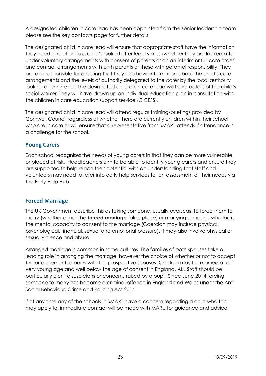A designated children in care lead has been appointed from the senior leadership team please see the key contacts page for further details.

The designated child in care lead will ensure that appropriate staff have the information they need in relation to a child's looked after legal status (whether they are looked after under voluntary arrangements with consent of parents or on an interim or full care order) and contact arrangements with birth parents or those with parental responsibility. They are also responsible for ensuring that they also have information about the child's care arrangements and the levels of authority delegated to the carer by the local authority looking after him/her. The designated children in care lead will have details of the child's social worker. They will have drawn up an individual education plan in consultation with the children in care education support service (CICESS).

The designated child in care lead will attend regular training/briefings provided by Cornwall Council regardless of whether there are currently children within their school who are in care or will ensure that a representative from SMART attends if attendance is a challenge for the school.

## <span id="page-22-0"></span>**Young Carers**

Each school recognises the needs of young carers in that they can be more vulnerable or placed at risk. Headteachers aim to be able to identify young carers and ensure they are supported to help reach their potential with an understanding that staff and volunteers may need to refer into early help services for an assessment of their needs via the Early Help Hub.

## <span id="page-22-1"></span>**Forced Marriage**

The UK Government describe this as taking someone, usually overseas, to force them to marry (whether or not the **forced marriage** takes place) or marrying someone who lacks the mental capacity to consent to the marriage (Coercion may include physical, psychological, financial, sexual and emotional pressure). It may also involve physical or sexual violence and abuse.

Arranged marriage is common in some cultures. The families of both spouses take a leading role in arranging the marriage, however the choice of whether or not to accept the arrangement remains with the prospective spouses. Children may be married at a very young age and well below the age of consent in England. ALL Staff should be particularly alert to suspicions or concerns raised by a pupil. Since June 2014 forcing someone to marry has become a criminal offence in England and Wales under the Anti-Social Behaviour, Crime and Policing Act 2014*.* 

If at any time any of the schools in SMART have a concern regarding a child who this may apply to, immediate contact will be made with MARU for guidance and advice.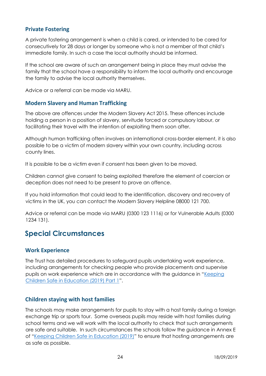#### <span id="page-23-0"></span>**Private Fostering**

A private fostering arrangement is when a child is cared, or intended to be cared for consecutively for 28 days or longer by someone who is not a member of that child's immediate family. In such a case the local authority should be informed.

If the school are aware of such an arrangement being in place they must advise the family that the school have a responsibility to inform the local authority and encourage the family to advise the local authority themselves.

Advice or a referral can be made via MARU.

#### <span id="page-23-1"></span>**Modern Slavery and Human Trafficking**

The above are offences under the Modern Slavery Act 2015. These offences include holding a person in a position of slavery, servitude forced or compulsory labour, or facilitating their travel with the intention of exploiting them soon after.

Although human trafficking often involves an international cross-border element, it is also possible to be a victim of modern slavery within your own country, including across county lines.

It is possible to be a victim even if consent has been given to be moved.

Children cannot give consent to being exploited therefore the element of coercion or deception does not need to be present to prove an offence.

If you hold information that could lead to the identification, discovery and recovery of victims in the UK, you can contact the Modern Slavery Helpline 08000 121 700.

Advice or referral can be made via MARU (0300 123 1116) or for Vulnerable Adults (0300 1234 131).

# <span id="page-23-2"></span>**Special Circumstances**

#### <span id="page-23-3"></span>**Work Experience**

The Trust has detailed procedures to safeguard pupils undertaking work experience, including arrangements for checking people who provide placements and supervise pupils on work experience which are in accordance with the guidance in "Keeping [Children Safe in Education \(2019\) Part 1](https://assets.publishing.service.gov.uk/government/uploads/system/uploads/attachment_data/file/830121/Keeping_children_safe_in_education_060919.pdf)".

## <span id="page-23-4"></span>**Children staying with host families**

The schools may make arrangements for pupils to stay with a host family during a foreign exchange trip or sports tour. Some overseas pupils may reside with host families during school terms and we will work with the local authority to check that such arrangements are safe and suitable. In such circumstances the schools follow the guidance in Annex E of "[Keeping Children Safe in Education \(2019\)](https://assets.publishing.service.gov.uk/government/uploads/system/uploads/attachment_data/file/830121/Keeping_children_safe_in_education_060919.pdf)" to ensure that hosting arrangements are as safe as possible.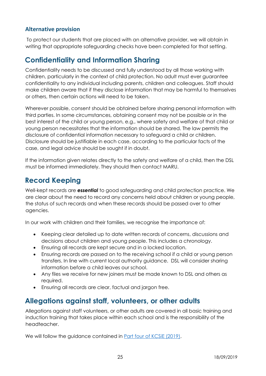## <span id="page-24-0"></span>**Alternative provision**

To protect our students that are placed with an alternative provider, we will obtain in writing that appropriate safeguarding checks have been completed for that setting.

# <span id="page-24-1"></span>**Confidentiality and Information Sharing**

Confidentiality needs to be discussed and fully understood by all those working with children, particularly in the context of child protection. No adult must ever guarantee confidentiality to any individual including parents, children and colleagues. Staff should make children aware that if they disclose information that may be harmful to themselves or others, then certain actions will need to be taken.

Wherever possible, consent should be obtained before sharing personal information with third parties. In some circumstances, obtaining consent may not be possible or in the best interest of the child or young person, e.g., where safety and welfare of that child or young person necessitates that the information should be shared. The law permits the disclosure of confidential information necessary to safeguard a child or children. Disclosure should be justifiable in each case, according to the particular facts of the case, and legal advice should be sought if in doubt.

If the information given relates directly to the safety and welfare of a child, then the DSL must be informed immediately. They should then contact MARU.

# <span id="page-24-2"></span>**Record Keeping**

Well-kept records are *essential* to good safeguarding and child protection practice. We are clear about the need to record any concerns held about children or young people, the status of such records and when these records should be passed over to other agencies.

In our work with children and their families, we recognise the importance of:

- Keeping clear detailed up to date written records of concerns, discussions and decisions about children and young people. This includes a chronology.
- Ensuring all records are kept secure and in a locked location.
- Ensuring records are passed on to the receiving school if a child or young person transfers. In line with current local authority guidance. DSL will consider sharing information before a child leaves our school.
- Any files we receive for new joiners must be made known to DSL and others as required.
- Ensuring all records are clear, factual and jargon free.

# <span id="page-24-3"></span>**Allegations against staff, volunteers, or other adults**

Allegations against staff volunteers, or other adults are covered in all basic training and induction training that takes place within each school and is the responsibility of the headteacher.

We will follow the guidance contained in Part four [of KCSiE \(2019\).](https://assets.publishing.service.gov.uk/government/uploads/system/uploads/attachment_data/file/830121/Keeping_children_safe_in_education_060919.pdf)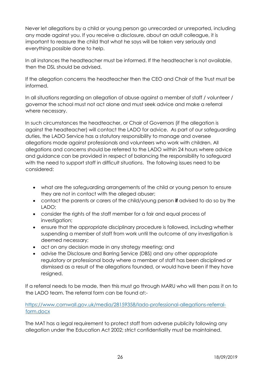Never let allegations by a child or young person go unrecorded or unreported, including any made against you. If you receive a disclosure, about an adult colleague, it is important to reassure the child that what he says will be taken very seriously and everything possible done to help.

In all instances the headteacher must be informed. If the headteacher is not available, then the DSL should be advised.

If the allegation concerns the headteacher then the CEO and Chair of the Trust must be informed.

In all situations regarding an allegation of abuse against a member of staff / volunteer / governor the school must not act alone and must seek advice and make a referral where necessary.

In such circumstances the headteacher, or Chair of Governors (if the allegation is against the headteacher) will contact the LADO for advice. As part of our safeguarding duties, the LADO Service has a statutory responsibility to manage and oversee allegations made against professionals and volunteers who work with children. All allegations and concerns should be referred to the LADO within 24 hours where advice and guidance can be provided in respect of balancing the responsibility to safeguard with the need to support staff in difficult situations. The following issues need to be considered:

- what are the safeguarding arrangements of the child or young person to ensure they are not in contact with the alleged abuser;
- contact the parents or carers of the child/young person **if** advised to do so by the LADO;
- consider the rights of the staff member for a fair and equal process of investigation;
- ensure that the appropriate disciplinary procedure is followed, including whether suspending a member of staff from work until the outcome of any investigation is deemed necessary;
- act on any decision made in any strategy meeting; and
- advise the Disclosure and Barring Service (DBS) and any other appropriate regulatory or professional body where a member of staff has been disciplined or dismissed as a result of the allegations founded, or would have been if they have resigned.

If a referral needs to be made, then this must go through MARU who will then pass it on to the LADO team. The referral form can be found at:-

#### [https://www.cornwall.gov.uk/media/28159358/lado-professional-allegations-referral](https://www.cornwall.gov.uk/media/28159358/lado-professional-allegations-referral-form.docx)[form.docx](https://www.cornwall.gov.uk/media/28159358/lado-professional-allegations-referral-form.docx)

The MAT has a legal requirement to protect staff from adverse publicity following any allegation under the Education Act 2002; strict confidentiality must be maintained.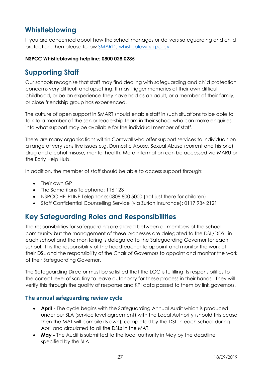# <span id="page-26-0"></span>**Whistleblowing**

If you are concerned about how the school manages or delivers safeguarding and child protection, then please follow [SMART's whistleblowing policy](http://www.smart-trust.net/policies/).

#### **NSPCC Whistleblowing helpline: 0800 028 0285**

# <span id="page-26-1"></span>**Supporting Staff**

Our schools recognise that staff may find dealing with safeguarding and child protection concerns very difficult and upsetting. It may trigger memories of their own difficult childhood, or be an experience they have had as an adult, or a member of their family, or close friendship group has experienced.

The culture of open support in SMART should enable staff in such situations to be able to talk to a member of the senior leadership team in their school who can make enquiries into what support may be available for the individual member of staff.

There are many organisations within Cornwall who offer support services to individuals on a range of very sensitive issues e.g. Domestic Abuse, Sexual Abuse (current and historic) drug and alcohol misuse, mental health. More information can be accessed via MARU or the Early Help Hub.

In addition, the member of staff should be able to access support through:

- Their own GP
- The Samaritans Telephone: 116 123
- NSPCC HELPLINE Telephone: 0808 800 5000 (not just there for children)
- Staff Confidential Counselling Service (via Zurich Insurance): 0117 934 2121

# <span id="page-26-2"></span>**Key Safeguarding Roles and Responsibilities**

The responsibilities for safeguarding are shared between all members of the school community but the management of these processes are delegated to the DSL/DDSL in each school and the monitoring is delegated to the Safeguarding Governor for each school. It is the responsibility of the headteacher to appoint and monitor the work of their DSL and the responsibility of the Chair of Governors to appoint and monitor the work of their Safeguarding Governor.

The Safeguarding Director must be satisfied that the LGC is fulfilling its responsibilities to the correct level of scrutiny to leave autonomy for these process in their hands. They will verify this through the quality of response and KPI data passed to them by link governors.

#### <span id="page-26-3"></span>**The annual safeguarding review cycle**

- **April -** The cycle begins with the Safeguarding Annual Audit which is produced under our SLA (service level agreement) with the Local Authority (should this cease then the MAT will compile its own), completed by the DSL in each school during April and circulated to all the DSLs in the MAT.
- **May -** The Audit is submitted to the local authority in May by the deadline specified by the SLA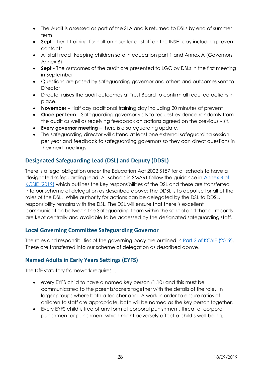- The Audit is assessed as part of the SLA and is returned to DSLs by end of summer term
- **Sept** Tier 1 training for half an hour for all staff on the INSET day including prevent contacts
- All staff read 'keeping children safe in education part 1 and Annex A (Governors Annex B)
- **Sept -** The outcomes of the audit are presented to LGC by DSLs in the first meeting in September
- Questions are posed by safeguarding governor and others and outcomes sent to **Director**
- Director raises the audit outcomes at Trust Board to confirm all required actions in place.
- **November** Half day additional training day including 20 minutes of prevent
- **Once per term** Safeguarding governor visits to request evidence randomly from the audit as well as receiving feedback on actions agreed on the previous visit.
- **Every governor meeting**  there is a safeguarding update.
- The safeguarding director will attend at least one external safeguarding session per year and feedback to safeguarding governors so they can direct questions in their next meetings.

# <span id="page-27-0"></span>**Designated Safeguarding Lead (DSL) and Deputy (DDSL)**

There is a legal obligation under the Education Act 2002 S157 for all schools to have a designated safeguarding lead. All schools in SMART follow the guidance in [Annex B of](https://assets.publishing.service.gov.uk/government/uploads/system/uploads/attachment_data/file/830121/Keeping_children_safe_in_education_060919.pdf)  [KCSIE \(2019\)](https://assets.publishing.service.gov.uk/government/uploads/system/uploads/attachment_data/file/830121/Keeping_children_safe_in_education_060919.pdf) which outlines the key responsibilities of the DSL and these are transferred into our scheme of delegation as described above: The DDSL is to deputise for all of the roles of the DSL. While authority for actions can be delegated by the DSL to DDSL, responsibility remains with the DSL. The DSL will ensure that there is excellent communication between the Safeguarding team within the school and that all records are kept centrally and available to be accessed by the designated safeguarding staff.

# <span id="page-27-1"></span>**Local Governing Committee Safeguarding Governor**

The roles and responsibilities of the governing body are outlined in **Part 2 of KCSIE (2019)**. These are transferred into our scheme of delegation as described above.

# <span id="page-27-2"></span>**Named Adults in Early Years Settings (EYFS)**

The DfE statutory framework requires…

- every EYFS child to have a named key person (1.10) and this must be communicated to the parents/carers together with the details of the role. In larger groups where both a teacher and TA work in order to ensure ratios of children to staff are appropriate, both will be named as the key person together.
- Every EYFS child is free of any form of corporal punishment, threat of corporal punishment or punishment which might adversely affect a child's well-being.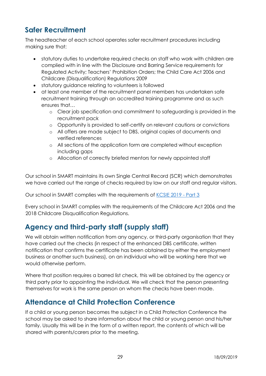# <span id="page-28-0"></span>**Safer Recruitment**

The headteacher of each school operates safer recruitment procedures including making sure that:

- statutory duties to undertake required checks on staff who work with children are complied with in line with the Disclosure and Barring Service requirements for Regulated Activity; Teachers' Prohibition Orders; the Child Care Act 2006 and Childcare (Disqualification) Regulations 2009
- statutory guidance relating to volunteers is followed
- at least one member of the recruitment panel members has undertaken safe recruitment training through an accredited training programme and as such ensures that…
	- o Clear job specification and commitment to safeguarding is provided in the recruitment pack
	- o Opportunity is provided to self-certify on relevant cautions or convictions
	- o All offers are made subject to DBS, original copies of documents and verified references
	- o All sections of the application form are completed without exception including gaps
	- o Allocation of correctly briefed mentors for newly appointed staff

Our school in SMART maintains its own Single Central Record (SCR) which demonstrates we have carried out the range of checks required by law on our staff and regular visitors.

Our school in SMART complies with the requirements of [KCSIE](https://assets.publishing.service.gov.uk/government/uploads/system/uploads/attachment_data/file/830121/Keeping_children_safe_in_education_060919.pdf) 2019 - Part 3

Every school in SMART complies with the requirements of the Childcare Act 2006 and the 2018 Childcare Disqualification Regulations.

# <span id="page-28-1"></span>**Agency and third-party staff (supply staff)**

We will obtain written notification from any agency, or third-party organisation that they have carried out the checks (in respect of the enhanced DBS certificate, written notification that confirms the certificate has been obtained by either the employment business or another such business), on an individual who will be working here that we would otherwise perform.

Where that position requires a barred list check, this will be obtained by the agency or third party prior to appointing the individual. We will check that the person presenting themselves for work is the same person on whom the checks have been made.

# <span id="page-28-2"></span>**Attendance at Child Protection Conference**

If a child or young person becomes the subject in a Child Protection Conference the school may be asked to share information about the child or young person and his/her family. Usually this will be in the form of a written report, the contents of which will be shared with parents/carers prior to the meeting.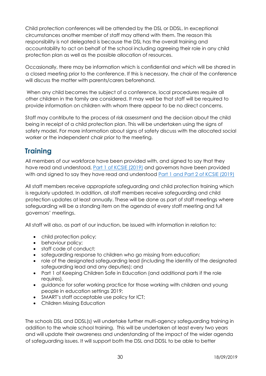Child protection conferences will be attended by the DSL or DDSL. In exceptional circumstances another member of staff may attend with them. The reason this responsibility is not delegated is because the DSL has the overall training and accountability to act on behalf of the school including agreeing their role in any child protection plan as well as the possible allocation of resources.

Occasionally, there may be information which is confidential and which will be shared in a closed meeting prior to the conference. If this is necessary, the chair of the conference will discuss the matter with parents/carers beforehand.

When any child becomes the subject of a conference, local procedures require all other children in the family are considered. It may well be that staff will be required to provide information on children with whom there appear to be no direct concerns.

Staff may contribute to the process of risk assessment and the decision about the child being in receipt of a child protection plan. This will be undertaken using the signs of safety model. For more information about signs of safety discuss with the allocated social worker or the independent chair prior to the meeting.

# <span id="page-29-0"></span>**Training**

All members of our workforce have been provided with, and signed to say that they have read and understood, [Part 1 of KCSIE](https://assets.publishing.service.gov.uk/government/uploads/system/uploads/attachment_data/file/830121/Keeping_children_safe_in_education_060919.pdf) (2019) and governors have been provided with and signed to say they have read and understood [Part 1 and Part 2 of KCSIE \(2019\)](https://assets.publishing.service.gov.uk/government/uploads/system/uploads/attachment_data/file/830121/Keeping_children_safe_in_education_060919.pdf)

All staff members receive appropriate safeguarding and child protection training which is regularly updated. In addition, all staff members receive safeguarding and child protection updates at least annually. These will be done as part of staff meetings where safeguarding will be a standing item on the agenda of every staff meeting and full governors' meetings.

All staff will also, as part of our induction, be issued with information in relation to:

- child protection policy;
- behaviour policy;
- staff code of conduct;
- safeguarding response to children who go missing from education;
- role of the designated safeguarding lead (including the identity of the designated safeguarding lead and any deputies); and
- Part 1 of Keeping Children Safe in Education (and additional parts if the role requires).
- guidance for safer working practice for those working with children and young people in education settings 2019;
- SMART's staff acceptable use policy for ICT:
- Children Missing Education

The schools DSL and DDSL(s) will undertake further multi-agency safeguarding training in addition to the whole school training. This will be undertaken at least every two years and will update their awareness and understanding of the impact of the wider agenda of safeguarding issues. It will support both the DSL and DDSL to be able to better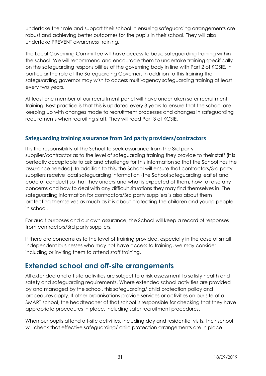undertake their role and support their school in ensuring safeguarding arrangements are robust and achieving better outcomes for the pupils in their school. They will also undertake PREVENT awareness training.

The Local Governing Committee will have access to basic safeguarding training within the school. We will recommend and encourage them to undertake training specifically on the safeguarding responsibilities of the governing body in line with Part 2 of KCSIE, in particular the role of the Safeguarding Governor. In addition to this training the safeguarding governor may wish to access multi-agency safeguarding training at least every two years.

At least one member of our recruitment panel will have undertaken safer recruitment training. Best practice is that this is updated every 3 years to ensure that the school are keeping up with changes made to recruitment processes and changes in safeguarding requirements when recruiting staff. They will read Part 3 of KCSIE.

# <span id="page-30-0"></span>**Safeguarding training assurance from 3rd party providers/contractors**

It is the responsibility of the School to seek assurance from the 3rd party supplier/contractor as to the level of safeguarding training they provide to their staff (it is perfectly acceptable to ask and challenge for this information so that the School has the assurance needed). In addition to this, the School will ensure that contractors/3rd party suppliers receive local safeguarding information (the School safeguarding leaflet and code of conduct) so that they understand what is expected of them, how to raise any concerns and how to deal with any difficult situations they may find themselves in. The safeguarding information for contractors/3rd party suppliers is also about them protecting themselves as much as it is about protecting the children and young people in school.

For audit purposes and our own assurance, the School will keep a record of responses from contractors/3rd party suppliers.

If there are concerns as to the level of training provided, especially in the case of small independent businesses who may not have access to training, we may consider including or inviting them to attend staff training.

# <span id="page-30-1"></span>**Extended school and off-site arrangements**

All extended and off site activities are subject to a risk assessment to satisfy health and safety and safeguarding requirements. Where extended school activities are provided by and managed by the school, this safeguarding/ child protection policy and procedures apply. If other organisations provide services or activities on our site of a SMART school, the headteacher of that school is responsible for checking that they have appropriate procedures in place, including safer recruitment procedures.

When our pupils attend off-site activities, including day and residential visits, their school will check that effective safeguarding/ child protection arrangements are in place.